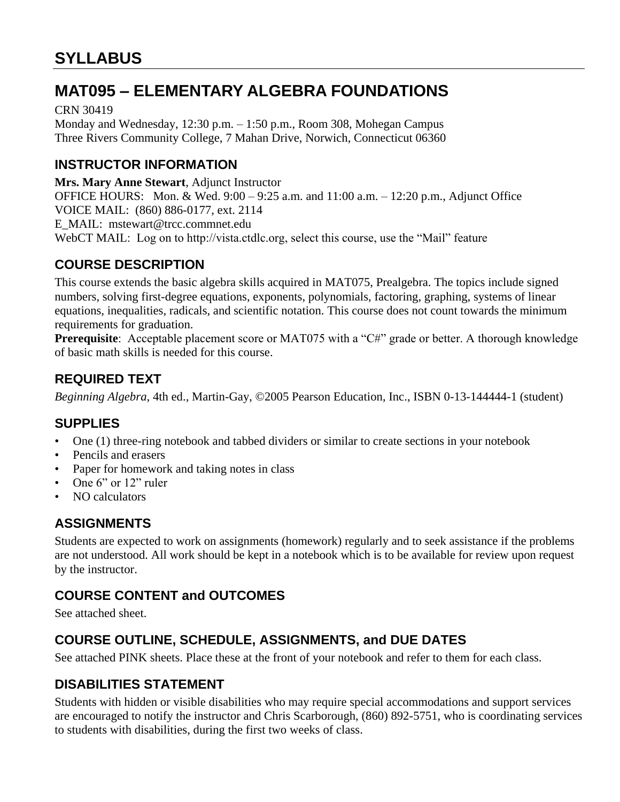# **MAT095 – ELEMENTARY ALGEBRA FOUNDATIONS**

CRN 30419 Monday and Wednesday, 12:30 p.m. – 1:50 p.m., Room 308, Mohegan Campus Three Rivers Community College, 7 Mahan Drive, Norwich, Connecticut 06360

### **INSTRUCTOR INFORMATION**

**Mrs. Mary Anne Stewart**, Adjunct Instructor OFFICE HOURS: Mon. & Wed. 9:00 – 9:25 a.m. and 11:00 a.m. – 12:20 p.m., Adjunct Office VOICE MAIL: (860) 886-0177, ext. 2114 E\_MAIL: mstewart@trcc.commnet.edu WebCT MAIL: Log on to http://vista.ctdlc.org, select this course, use the "Mail" feature

### **COURSE DESCRIPTION**

This course extends the basic algebra skills acquired in MAT075, Prealgebra. The topics include signed numbers, solving first-degree equations, exponents, polynomials, factoring, graphing, systems of linear equations, inequalities, radicals, and scientific notation. This course does not count towards the minimum requirements for graduation.

Prerequisite: Acceptable placement score or MAT075 with a "C#" grade or better. A thorough knowledge of basic math skills is needed for this course.

### **REQUIRED TEXT**

*Beginning Algebra*, 4th ed., Martin-Gay, ©2005 Pearson Education, Inc., ISBN 0-13-144444-1 (student)

### **SUPPLIES**

- One (1) three-ring notebook and tabbed dividers or similar to create sections in your notebook
- Pencils and erasers
- Paper for homework and taking notes in class
- One 6" or 12" ruler
- NO calculators

### **ASSIGNMENTS**

Students are expected to work on assignments (homework) regularly and to seek assistance if the problems are not understood. All work should be kept in a notebook which is to be available for review upon request by the instructor.

### **COURSE CONTENT and OUTCOMES**

See attached sheet.

### **COURSE OUTLINE, SCHEDULE, ASSIGNMENTS, and DUE DATES**

See attached PINK sheets. Place these at the front of your notebook and refer to them for each class.

### **DISABILITIES STATEMENT**

Students with hidden or visible disabilities who may require special accommodations and support services are encouraged to notify the instructor and Chris Scarborough, (860) 892-5751, who is coordinating services to students with disabilities, during the first two weeks of class.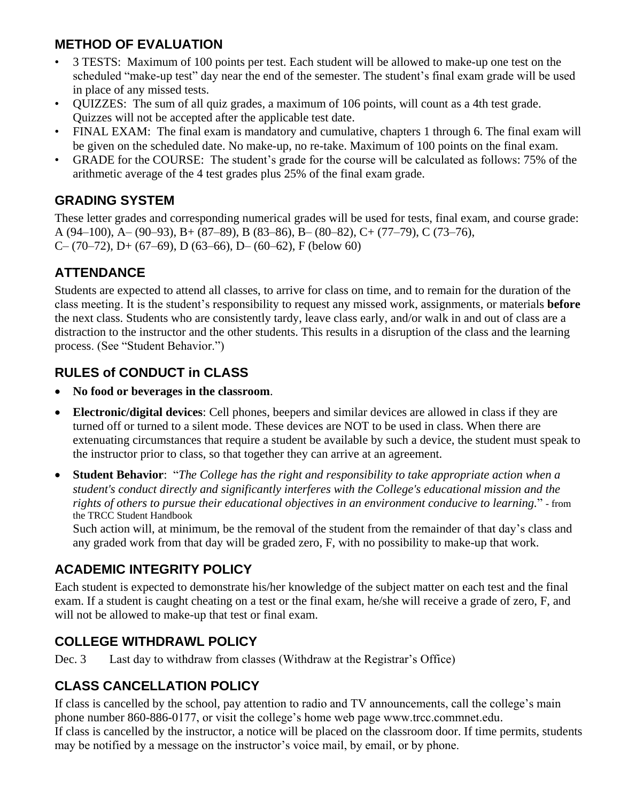### **METHOD OF EVALUATION**

- 3 TESTS: Maximum of 100 points per test. Each student will be allowed to make-up one test on the scheduled "make-up test" day near the end of the semester. The student's final exam grade will be used in place of any missed tests.
- QUIZZES: The sum of all quiz grades, a maximum of 106 points, will count as a 4th test grade. Quizzes will not be accepted after the applicable test date.
- FINAL EXAM: The final exam is mandatory and cumulative, chapters 1 through 6. The final exam will be given on the scheduled date. No make-up, no re-take. Maximum of 100 points on the final exam.
- GRADE for the COURSE: The student's grade for the course will be calculated as follows: 75% of the arithmetic average of the 4 test grades plus 25% of the final exam grade.

### **GRADING SYSTEM**

These letter grades and corresponding numerical grades will be used for tests, final exam, and course grade: A (94–100), A– (90–93), B+ (87–89), B (83–86), B– (80–82), C+ (77–79), C (73–76), C– (70–72), D+ (67–69), D (63–66), D– (60–62), F (below 60)

### **ATTENDANCE**

Students are expected to attend all classes, to arrive for class on time, and to remain for the duration of the class meeting. It is the student's responsibility to request any missed work, assignments, or materials **before** the next class. Students who are consistently tardy, leave class early, and/or walk in and out of class are a distraction to the instructor and the other students. This results in a disruption of the class and the learning process. (See "Student Behavior.")

### **RULES of CONDUCT in CLASS**

- **No food or beverages in the classroom**.
- **Electronic/digital devices**: Cell phones, beepers and similar devices are allowed in class if they are turned off or turned to a silent mode. These devices are NOT to be used in class. When there are extenuating circumstances that require a student be available by such a device, the student must speak to the instructor prior to class, so that together they can arrive at an agreement.
- **Student Behavior**: "*The College has the right and responsibility to take appropriate action when a student's conduct directly and significantly interferes with the College's educational mission and the rights of others to pursue their educational objectives in an environment conducive to learning.*" - from the TRCC Student Handbook

Such action will, at minimum, be the removal of the student from the remainder of that day's class and any graded work from that day will be graded zero, F, with no possibility to make-up that work.

### **ACADEMIC INTEGRITY POLICY**

Each student is expected to demonstrate his/her knowledge of the subject matter on each test and the final exam. If a student is caught cheating on a test or the final exam, he/she will receive a grade of zero, F, and will not be allowed to make-up that test or final exam.

### **COLLEGE WITHDRAWL POLICY**

Dec. 3 Last day to withdraw from classes (Withdraw at the Registrar's Office)

### **CLASS CANCELLATION POLICY**

If class is cancelled by the school, pay attention to radio and TV announcements, call the college's main phone number 860-886-0177, or visit the college's home web page www.trcc.commnet.edu. If class is cancelled by the instructor, a notice will be placed on the classroom door. If time permits, students may be notified by a message on the instructor's voice mail, by email, or by phone.